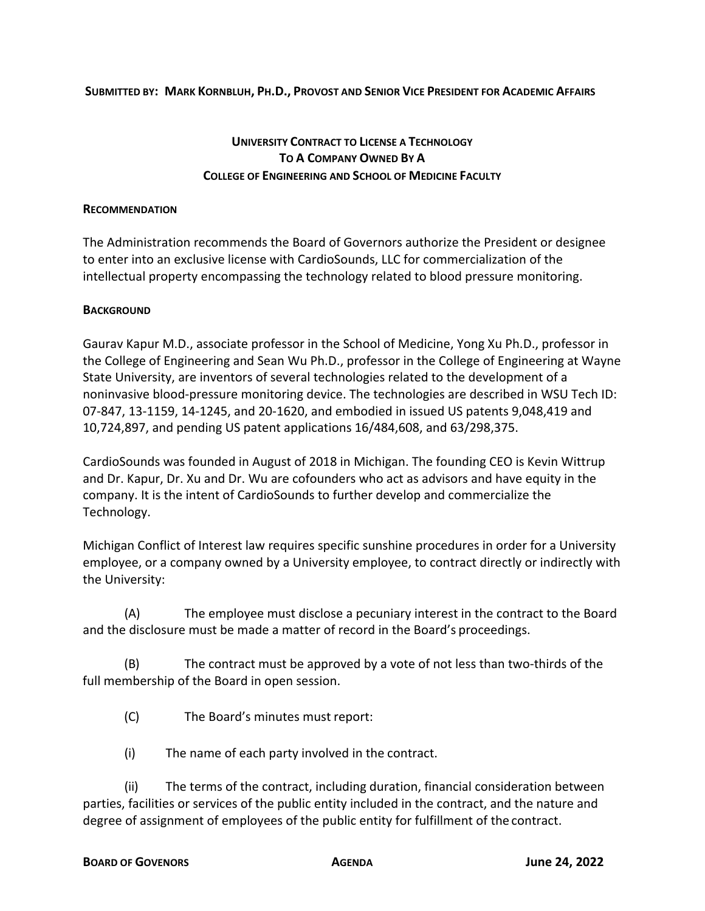## **SUBMITTED BY: MARK KORNBLUH, PH.D., PROVOST AND SENIOR VICE PRESIDENT FOR ACADEMIC AFFAIRS**

## **UNIVERSITY CONTRACT TO LICENSE A TECHNOLOGY TO A COMPANY OWNED BY A COLLEGE OF ENGINEERING AND SCHOOL OF MEDICINE FACULTY**

## **RECOMMENDATION**

The Administration recommends the Board of Governors authorize the President or designee to enter into an exclusive license with CardioSounds, LLC for commercialization of the intellectual property encompassing the technology related to blood pressure monitoring.

## **BACKGROUND**

Gaurav Kapur M.D., associate professor in the School of Medicine, Yong Xu Ph.D., professor in the College of Engineering and Sean Wu Ph.D., professor in the College of Engineering at Wayne State University, are inventors of several technologies related to the development of a noninvasive blood-pressure monitoring device. The technologies are described in WSU Tech ID: 07-847, 13-1159, 14-1245, and 20-1620, and embodied in issued US patents 9,048,419 and 10,724,897, and pending US patent applications 16/484,608, and 63/298,375.

CardioSounds was founded in August of 2018 in Michigan. The founding CEO is Kevin Wittrup and Dr. Kapur, Dr. Xu and Dr. Wu are cofounders who act as advisors and have equity in the company. It is the intent of CardioSounds to further develop and commercialize the Technology.

Michigan Conflict of Interest law requires specific sunshine procedures in order for a University employee, or a company owned by a University employee, to contract directly or indirectly with the University:

(A) The employee must disclose a pecuniary interest in the contract to the Board and the disclosure must be made a matter of record in the Board's proceedings.

(B) The contract must be approved by a vote of not less than two-thirds of the full membership of the Board in open session.

- (C) The Board's minutes must report:
- (i) The name of each party involved in the contract.

(ii) The terms of the contract, including duration, financial consideration between parties, facilities or services of the public entity included in the contract, and the nature and degree of assignment of employees of the public entity for fulfillment of the contract.